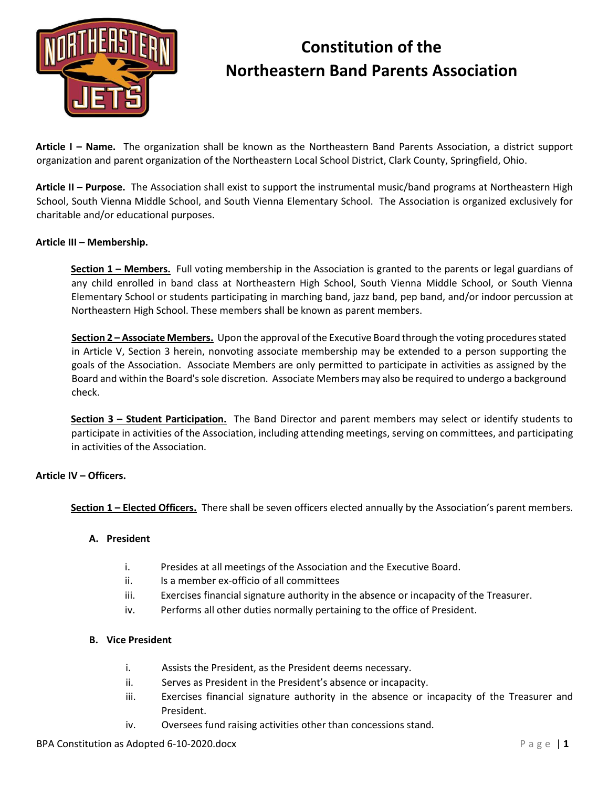

**Article I – Name.** The organization shall be known as the Northeastern Band Parents Association, a district support organization and parent organization of the Northeastern Local School District, Clark County, Springfield, Ohio.

**Article II – Purpose.** The Association shall exist to support the instrumental music/band programs at Northeastern High School, South Vienna Middle School, and South Vienna Elementary School. The Association is organized exclusively for charitable and/or educational purposes.

### **Article III – Membership.**

**Section 1 – Members.** Full voting membership in the Association is granted to the parents or legal guardians of any child enrolled in band class at Northeastern High School, South Vienna Middle School, or South Vienna Elementary School or students participating in marching band, jazz band, pep band, and/or indoor percussion at Northeastern High School. These members shall be known as parent members.

**Section 2 – Associate Members.** Upon the approval of the Executive Board through the voting procedures stated in Article V, Section 3 herein, nonvoting associate membership may be extended to a person supporting the goals of the Association. Associate Members are only permitted to participate in activities as assigned by the Board and within the Board's sole discretion. Associate Members may also be required to undergo a background check.

**Section 3 – Student Participation.** The Band Director and parent members may select or identify students to participate in activities of the Association, including attending meetings, serving on committees, and participating in activities of the Association.

#### **Article IV – Officers.**

**Section 1 – Elected Officers.** There shall be seven officers elected annually by the Association's parent members.

#### **A. President**

- i. Presides at all meetings of the Association and the Executive Board.
- ii. Is a member ex-officio of all committees
- iii. Exercises financial signature authority in the absence or incapacity of the Treasurer.
- iv. Performs all other duties normally pertaining to the office of President.

#### **B. Vice President**

- i. Assists the President, as the President deems necessary.
- ii. Serves as President in the President's absence or incapacity.
- iii. Exercises financial signature authority in the absence or incapacity of the Treasurer and President.
- iv. Oversees fund raising activities other than concessions stand.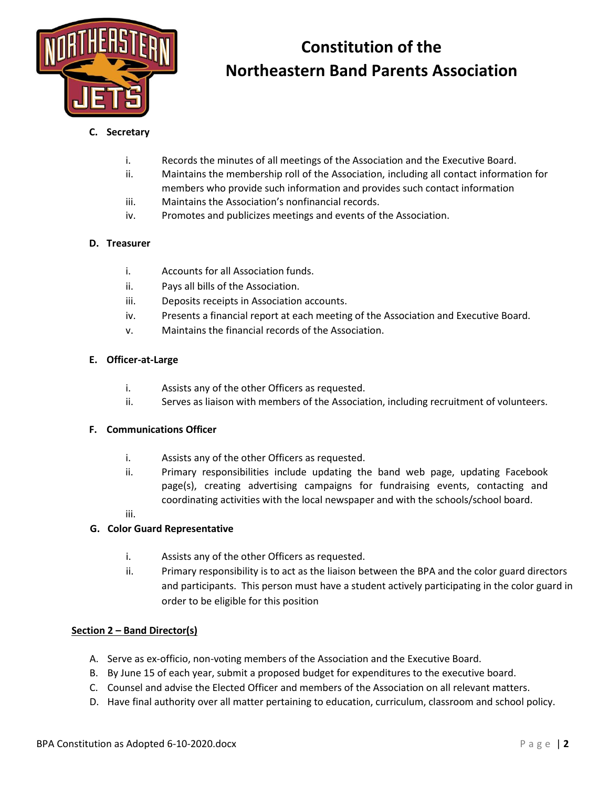

### **C. Secretary**

- i. Records the minutes of all meetings of the Association and the Executive Board.
- ii. Maintains the membership roll of the Association, including all contact information for
- members who provide such information and provides such contact information
- iii. Maintains the Association's nonfinancial records.
- iv. Promotes and publicizes meetings and events of the Association.

## **D. Treasurer**

- i. Accounts for all Association funds.
- ii. Pays all bills of the Association.
- iii. Deposits receipts in Association accounts.
- iv. Presents a financial report at each meeting of the Association and Executive Board.
- v. Maintains the financial records of the Association.

## **E. Officer-at-Large**

- i. Assists any of the other Officers as requested.
- ii. Serves as liaison with members of the Association, including recruitment of volunteers.

### **F. Communications Officer**

- i. Assists any of the other Officers as requested.
- ii. Primary responsibilities include updating the band web page, updating Facebook page(s), creating advertising campaigns for fundraising events, contacting and coordinating activities with the local newspaper and with the schools/school board.

#### iii.

### **G. Color Guard Representative**

- i. Assists any of the other Officers as requested.
- ii. Primary responsibility is to act as the liaison between the BPA and the color guard directors and participants. This person must have a student actively participating in the color guard in order to be eligible for this position

### **Section 2 – Band Director(s)**

- A. Serve as ex-officio, non-voting members of the Association and the Executive Board.
- B. By June 15 of each year, submit a proposed budget for expenditures to the executive board.
- C. Counsel and advise the Elected Officer and members of the Association on all relevant matters.
- D. Have final authority over all matter pertaining to education, curriculum, classroom and school policy.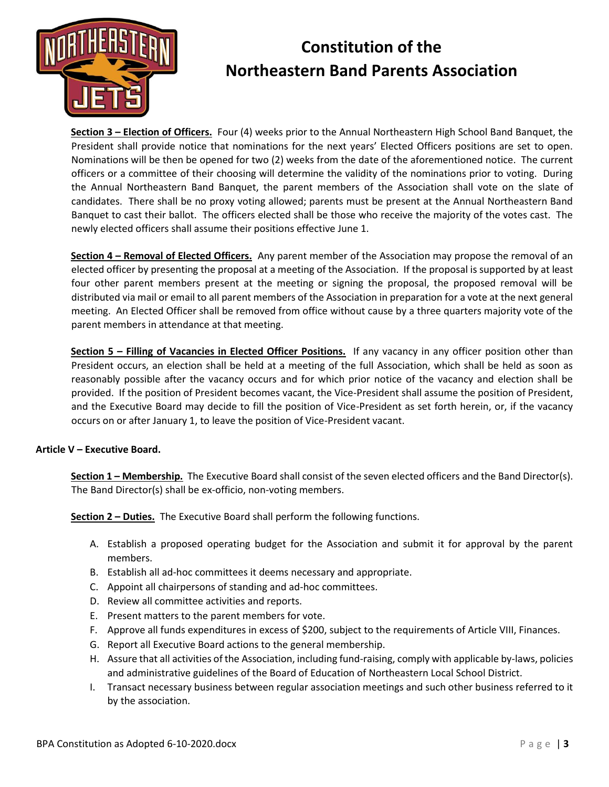

**Section 3 – Election of Officers.** Four (4) weeks prior to the Annual Northeastern High School Band Banquet, the President shall provide notice that nominations for the next years' Elected Officers positions are set to open. Nominations will be then be opened for two (2) weeks from the date of the aforementioned notice. The current officers or a committee of their choosing will determine the validity of the nominations prior to voting. During the Annual Northeastern Band Banquet, the parent members of the Association shall vote on the slate of candidates. There shall be no proxy voting allowed; parents must be present at the Annual Northeastern Band Banquet to cast their ballot. The officers elected shall be those who receive the majority of the votes cast. The newly elected officers shall assume their positions effective June 1.

**Section 4 – Removal of Elected Officers.** Any parent member of the Association may propose the removal of an elected officer by presenting the proposal at a meeting of the Association. If the proposal is supported by at least four other parent members present at the meeting or signing the proposal, the proposed removal will be distributed via mail or email to all parent members of the Association in preparation for a vote at the next general meeting. An Elected Officer shall be removed from office without cause by a three quarters majority vote of the parent members in attendance at that meeting.

**Section 5 – Filling of Vacancies in Elected Officer Positions.** If any vacancy in any officer position other than President occurs, an election shall be held at a meeting of the full Association, which shall be held as soon as reasonably possible after the vacancy occurs and for which prior notice of the vacancy and election shall be provided. If the position of President becomes vacant, the Vice-President shall assume the position of President, and the Executive Board may decide to fill the position of Vice-President as set forth herein, or, if the vacancy occurs on or after January 1, to leave the position of Vice-President vacant.

### **Article V – Executive Board.**

**Section 1 – Membership.** The Executive Board shall consist of the seven elected officers and the Band Director(s). The Band Director(s) shall be ex-officio, non-voting members.

**Section 2 – Duties.** The Executive Board shall perform the following functions.

- A. Establish a proposed operating budget for the Association and submit it for approval by the parent members.
- B. Establish all ad-hoc committees it deems necessary and appropriate.
- C. Appoint all chairpersons of standing and ad-hoc committees.
- D. Review all committee activities and reports.
- E. Present matters to the parent members for vote.
- F. Approve all funds expenditures in excess of \$200, subject to the requirements of Article VIII, Finances.
- G. Report all Executive Board actions to the general membership.
- H. Assure that all activities of the Association, including fund-raising, comply with applicable by-laws, policies and administrative guidelines of the Board of Education of Northeastern Local School District.
- I. Transact necessary business between regular association meetings and such other business referred to it by the association.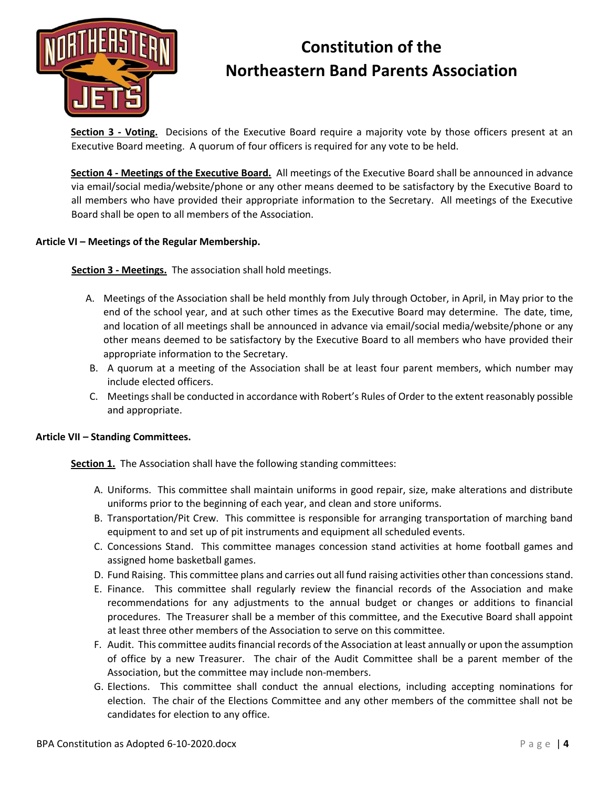

**Section 3 - Voting.** Decisions of the Executive Board require a majority vote by those officers present at an Executive Board meeting. A quorum of four officers is required for any vote to be held.

**Section 4 - Meetings of the Executive Board.** All meetings of the Executive Board shall be announced in advance via email/social media/website/phone or any other means deemed to be satisfactory by the Executive Board to all members who have provided their appropriate information to the Secretary. All meetings of the Executive Board shall be open to all members of the Association.

### **Article VI – Meetings of the Regular Membership.**

**Section 3 - Meetings.** The association shall hold meetings.

- A. Meetings of the Association shall be held monthly from July through October, in April, in May prior to the end of the school year, and at such other times as the Executive Board may determine. The date, time, and location of all meetings shall be announced in advance via email/social media/website/phone or any other means deemed to be satisfactory by the Executive Board to all members who have provided their appropriate information to the Secretary.
- B. A quorum at a meeting of the Association shall be at least four parent members, which number may include elected officers.
- C. Meetings shall be conducted in accordance with Robert's Rules of Order to the extent reasonably possible and appropriate.

#### **Article VII – Standing Committees.**

**Section 1.** The Association shall have the following standing committees:

- A. Uniforms. This committee shall maintain uniforms in good repair, size, make alterations and distribute uniforms prior to the beginning of each year, and clean and store uniforms.
- B. Transportation/Pit Crew. This committee is responsible for arranging transportation of marching band equipment to and set up of pit instruments and equipment all scheduled events.
- C. Concessions Stand. This committee manages concession stand activities at home football games and assigned home basketball games.
- D. Fund Raising. This committee plans and carries out all fund raising activities other than concessions stand.
- E. Finance. This committee shall regularly review the financial records of the Association and make recommendations for any adjustments to the annual budget or changes or additions to financial procedures. The Treasurer shall be a member of this committee, and the Executive Board shall appoint at least three other members of the Association to serve on this committee.
- F. Audit. This committee audits financial records of the Association at least annually or upon the assumption of office by a new Treasurer. The chair of the Audit Committee shall be a parent member of the Association, but the committee may include non-members.
- G. Elections. This committee shall conduct the annual elections, including accepting nominations for election. The chair of the Elections Committee and any other members of the committee shall not be candidates for election to any office.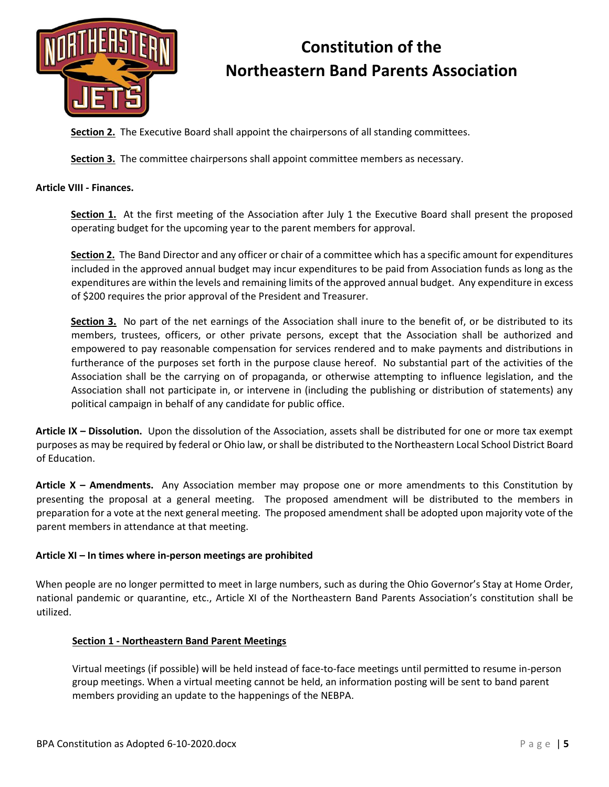

**Section 2.** The Executive Board shall appoint the chairpersons of all standing committees.

**Section 3.** The committee chairpersons shall appoint committee members as necessary.

### **Article VIII - Finances.**

**Section 1.** At the first meeting of the Association after July 1 the Executive Board shall present the proposed operating budget for the upcoming year to the parent members for approval.

**Section 2.** The Band Director and any officer or chair of a committee which has a specific amount for expenditures included in the approved annual budget may incur expenditures to be paid from Association funds as long as the expenditures are within the levels and remaining limits of the approved annual budget. Any expenditure in excess of \$200 requires the prior approval of the President and Treasurer.

**Section 3.** No part of the net earnings of the Association shall inure to the benefit of, or be distributed to its members, trustees, officers, or other private persons, except that the Association shall be authorized and empowered to pay reasonable compensation for services rendered and to make payments and distributions in furtherance of the purposes set forth in the purpose clause hereof. No substantial part of the activities of the Association shall be the carrying on of propaganda, or otherwise attempting to influence legislation, and the Association shall not participate in, or intervene in (including the publishing or distribution of statements) any political campaign in behalf of any candidate for public office.

**Article IX – Dissolution.**Upon the dissolution of the Association, assets shall be distributed for one or more tax exempt purposes as may be required by federal or Ohio law, or shall be distributed to the Northeastern Local School District Board of Education.

**Article X – Amendments.** Any Association member may propose one or more amendments to this Constitution by presenting the proposal at a general meeting. The proposed amendment will be distributed to the members in preparation for a vote at the next general meeting. The proposed amendment shall be adopted upon majority vote of the parent members in attendance at that meeting.

### **Article XI – In times where in-person meetings are prohibited**

When people are no longer permitted to meet in large numbers, such as during the Ohio Governor's Stay at Home Order, national pandemic or quarantine, etc., Article XI of the Northeastern Band Parents Association's constitution shall be utilized.

### **Section 1 - Northeastern Band Parent Meetings**

Virtual meetings (if possible) will be held instead of face-to-face meetings until permitted to resume in-person group meetings. When a virtual meeting cannot be held, an information posting will be sent to band parent members providing an update to the happenings of the NEBPA.